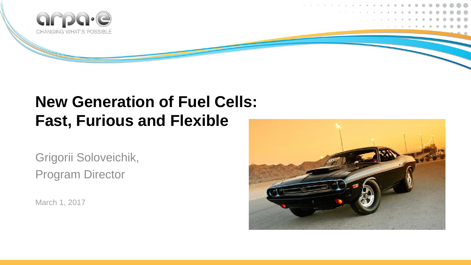

### **New Generation of Fuel Cells: Fast, Furious and Flexible**

Grigorii Soloveichik, Program Director

March 1, 2017

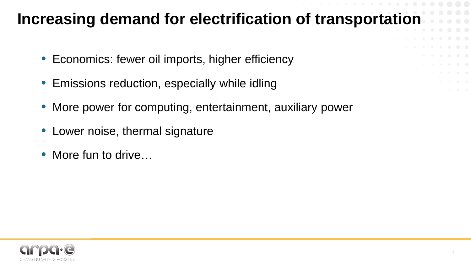## **Increasing demand for electrification of transportation**

- Economics: fewer oil imports, higher efficiency
- Emissions reduction, especially while idling
- More power for computing, entertainment, auxiliary power
- Lower noise, thermal signature
- More fun to drive...

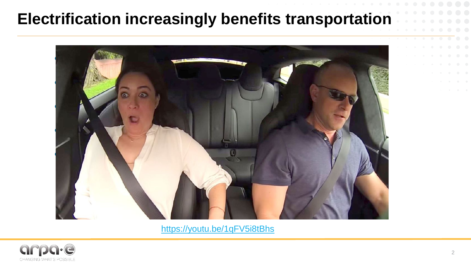#### **Electrification increasingly benefits transportation**



<https://youtu.be/1qFV5i8tBhs>

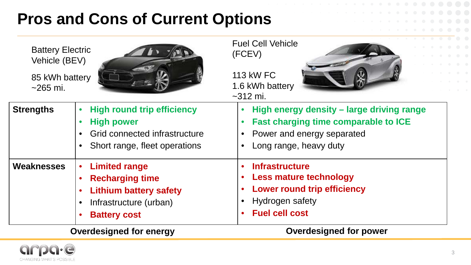## **Pros and Cons of Current Options**

| <b>Battery Electric</b><br>Vehicle (BEV) |                                                                                                                                  | <b>Fuel Cell Vehicle</b><br>(FCEV)<br><b>113 kW FC</b>                                                                                             |  |  |
|------------------------------------------|----------------------------------------------------------------------------------------------------------------------------------|----------------------------------------------------------------------------------------------------------------------------------------------------|--|--|
| 85 kWh battery<br>$~265$ mi.             |                                                                                                                                  | 1.6 kWh battery<br>$~2312$ mi.                                                                                                                     |  |  |
| <b>Strengths</b>                         | <b>High round trip efficiency</b><br><b>High power</b><br>Grid connected infrastructure<br>Short range, fleet operations         | High energy density – large driving range<br><b>Fast charging time comparable to ICE</b><br>• Power and energy separated<br>Long range, heavy duty |  |  |
| Weaknesses                               | <b>Limited range</b><br><b>Recharging time</b><br><b>Lithium battery safety</b><br>Infrastructure (urban)<br><b>Battery cost</b> | <b>Infrastructure</b><br><b>Less mature technology</b><br><b>Lower round trip efficiency</b><br>Hydrogen safety<br><b>Fuel cell cost</b>           |  |  |
| <b>Overdesigned for energy</b>           |                                                                                                                                  | <b>Overdesigned for power</b>                                                                                                                      |  |  |

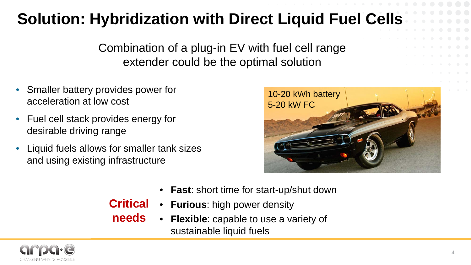# **Solution: Hybridization with Direct Liquid Fuel Cells**

Combination of a plug-in EV with fuel cell range extender could be the optimal solution

- Smaller battery provides power for acceleration at low cost
- Fuel cell stack provides energy for desirable driving range
- Liquid fuels allows for smaller tank sizes and using existing infrastructure



- **Fast**: short time for start-up/shut down
- **Furious**: high power density **Critical**
- **needs**
	- **Flexible**: capable to use a variety of sustainable liquid fuels

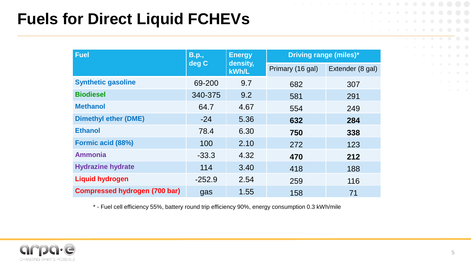## **Fuels for Direct Liquid FCHEVs**

| <b>Fuel</b>                          | <b>B.p.,</b><br>deg C | <b>Energy</b><br>density,<br>kWh/L | <b>Driving range (miles)*</b> |                  |
|--------------------------------------|-----------------------|------------------------------------|-------------------------------|------------------|
|                                      |                       |                                    | Primary (16 gal)              | Extender (8 gal) |
| <b>Synthetic gasoline</b>            | 69-200                | 9.7                                | 682                           | 307              |
| <b>Biodiesel</b>                     | 340-375               | 9.2                                | 581                           | 291              |
| <b>Methanol</b>                      | 64.7                  | 4.67                               | 554                           | 249              |
| <b>Dimethyl ether (DME)</b>          | $-24$                 | 5.36                               | 632                           | 284              |
| <b>Ethanol</b>                       | 78.4                  | 6.30                               | 750                           | 338              |
| Formic acid (88%)                    | 100                   | 2.10                               | 272                           | 123              |
| <b>Ammonia</b>                       | $-33.3$               | 4.32                               | 470                           | 212              |
| <b>Hydrazine hydrate</b>             | 114                   | 3.40                               | 418                           | 188              |
| <b>Liquid hydrogen</b>               | $-252.9$              | 2.54                               | 259                           | 116              |
| <b>Compressed hydrogen (700 bar)</b> | gas                   | 1.55                               | 158                           | 71               |

\* - Fuel cell efficiency 55%, battery round trip efficiency 90%, energy consumption 0.3 kWh/mile

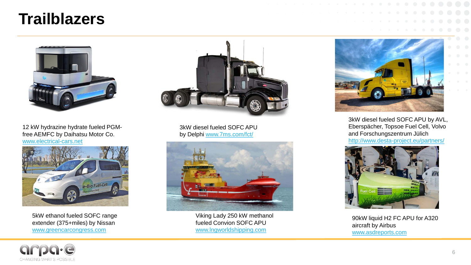#### **Trailblazers**



12 kW hydrazine hydrate fueled PGMfree AEMFC by Daihatsu Motor Co. [www.electrical-cars.net](http://www.electrical-cars.net/)



5kW ethanol fueled SOFC range extender (375+miles) by Nissan [www.greencarcongress.com](http://www.greencarcongress.com/)



3kW diesel fueled SOFC APU by Delphi [www.7ms.com/fct/](http://www.7ms.com/fct/)



Viking Lady 250 kW methanol fueled Convion SOFC APU [www.lngworldshipping.com](http://www.lngworldshipping.com/)



3kW diesel fueled SOFC APU by AVL, Eberspächer, Topsoe Fuel Cell, Volvo and Forschungszentrum Jülich <http://www.desta-project.eu/partners/>



90kW liquid H2 FC APU for A320 aircraft by Airbus [www.asdreports.com](http://www.asdreports.com/)

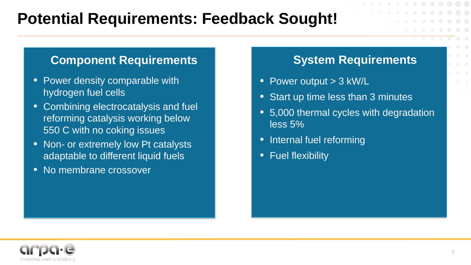## **Potential Requirements: Feedback Sought!**

#### **Component Requirements**

- Power density comparable with hydrogen fuel cells
- Combining electrocatalysis and fuel reforming catalysis working below 550 C with no coking issues
- Non- or extremely low Pt catalysts adaptable to different liquid fuels
- No membrane crossover

#### **System Requirements**

- Power output > 3 kW/L
- Start up time less than 3 minutes
- 5,000 thermal cycles with degradation less 5%
- Internal fuel reforming
- Fuel flexibility

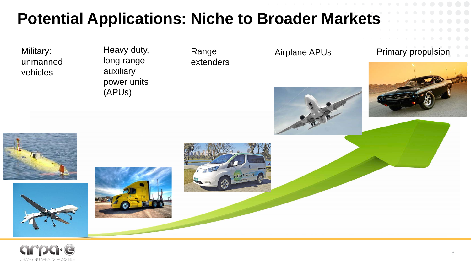## **Potential Applications: Niche to Broader Markets**